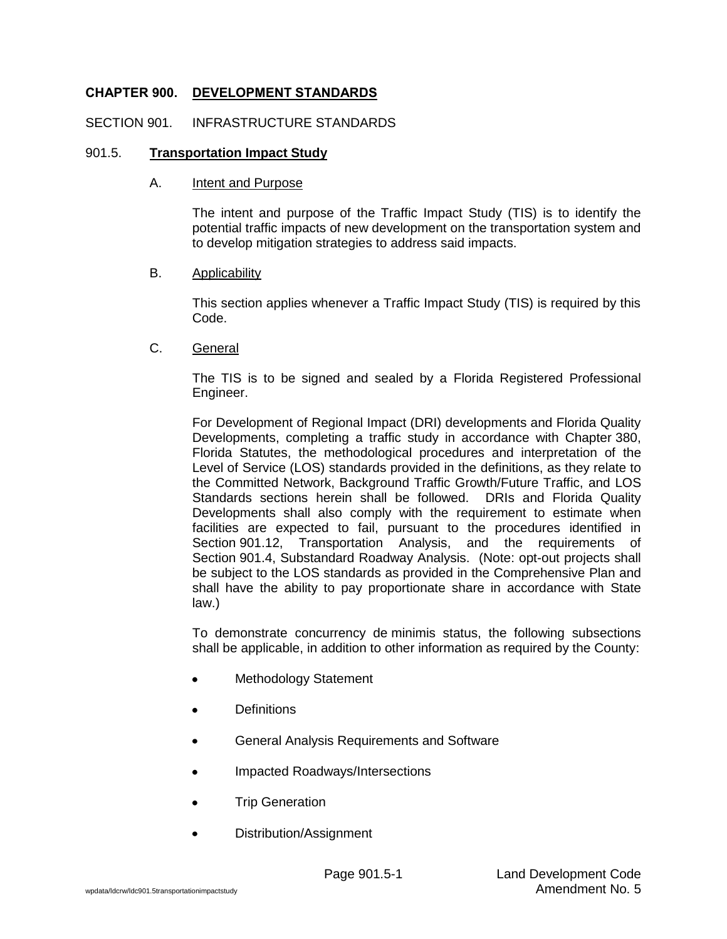# **CHAPTER 900. DEVELOPMENT STANDARDS**

#### SECTION 901. INFRASTRUCTURE STANDARDS

#### 901.5. **Transportation Impact Study**

#### A. Intent and Purpose

The intent and purpose of the Traffic Impact Study (TIS) is to identify the potential traffic impacts of new development on the transportation system and to develop mitigation strategies to address said impacts.

### B. Applicability

This section applies whenever a Traffic Impact Study (TIS) is required by this Code.

### C. General

The TIS is to be signed and sealed by a Florida Registered Professional Engineer.

For Development of Regional Impact (DRI) developments and Florida Quality Developments, completing a traffic study in accordance with Chapter 380, Florida Statutes, the methodological procedures and interpretation of the Level of Service (LOS) standards provided in the definitions, as they relate to the Committed Network, Background Traffic Growth/Future Traffic, and LOS Standards sections herein shall be followed. DRIs and Florida Quality Developments shall also comply with the requirement to estimate when facilities are expected to fail, pursuant to the procedures identified in Section 901.12, Transportation Analysis, and the requirements of Section 901.4, Substandard Roadway Analysis. (Note: opt-out projects shall be subject to the LOS standards as provided in the Comprehensive Plan and shall have the ability to pay proportionate share in accordance with State law.)

To demonstrate concurrency de minimis status, the following subsections shall be applicable, in addition to other information as required by the County:

- Methodology Statement
- **Definitions**
- General Analysis Requirements and Software
- Impacted Roadways/Intersections
- Trip Generation
- Distribution/Assignment $\bullet$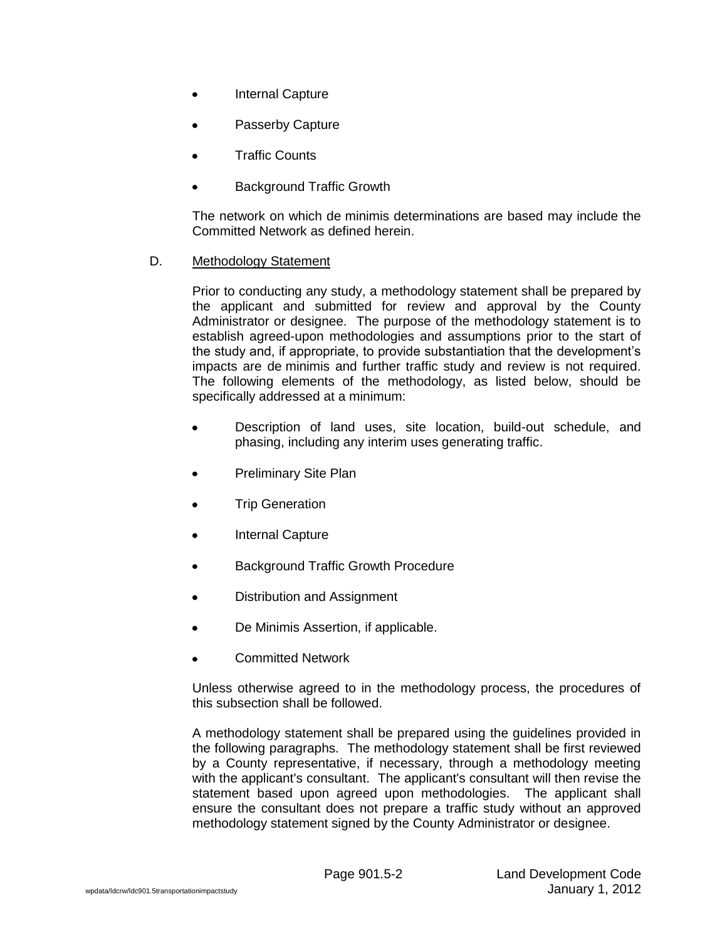- Internal Capture  $\bullet$
- Passerby Capture
- Traffic Counts
- Background Traffic Growth

The network on which de minimis determinations are based may include the Committed Network as defined herein.

D. Methodology Statement

Prior to conducting any study, a methodology statement shall be prepared by the applicant and submitted for review and approval by the County Administrator or designee. The purpose of the methodology statement is to establish agreed-upon methodologies and assumptions prior to the start of the study and, if appropriate, to provide substantiation that the development's impacts are de minimis and further traffic study and review is not required. The following elements of the methodology, as listed below, should be specifically addressed at a minimum:

- Description of land uses, site location, build-out schedule, and phasing, including any interim uses generating traffic.
- Preliminary Site Plan
- Trip Generation
- Internal Capture
- Background Traffic Growth Procedure
- Distribution and Assignment
- De Minimis Assertion, if applicable.
- Committed Network

Unless otherwise agreed to in the methodology process, the procedures of this subsection shall be followed.

A methodology statement shall be prepared using the guidelines provided in the following paragraphs. The methodology statement shall be first reviewed by a County representative, if necessary, through a methodology meeting with the applicant's consultant. The applicant's consultant will then revise the statement based upon agreed upon methodologies. The applicant shall ensure the consultant does not prepare a traffic study without an approved methodology statement signed by the County Administrator or designee.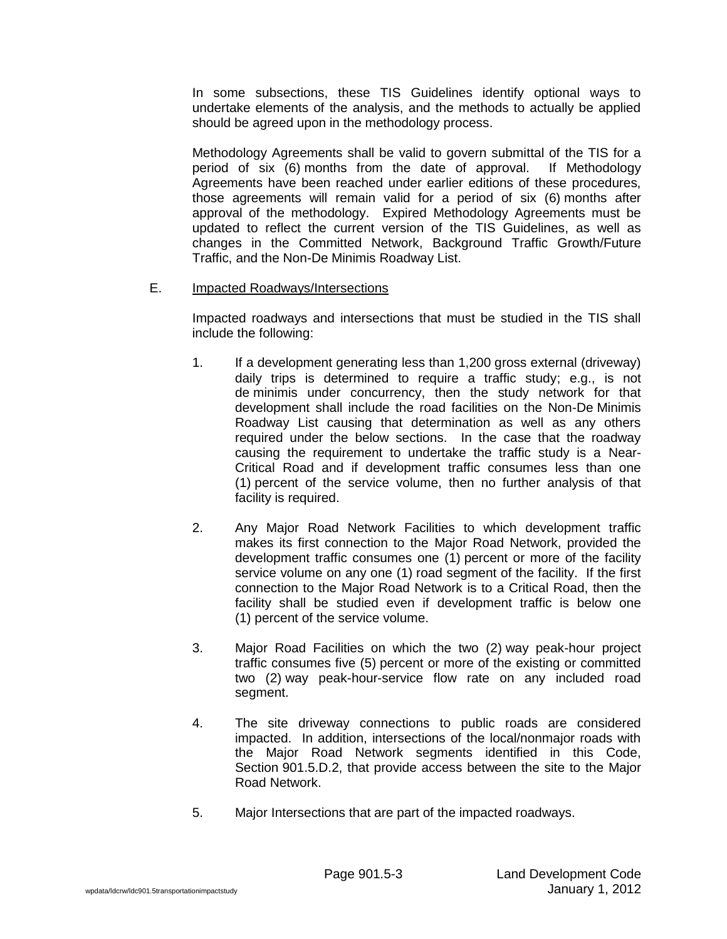In some subsections, these TIS Guidelines identify optional ways to undertake elements of the analysis, and the methods to actually be applied should be agreed upon in the methodology process.

Methodology Agreements shall be valid to govern submittal of the TIS for a period of six (6) months from the date of approval. If Methodology Agreements have been reached under earlier editions of these procedures, those agreements will remain valid for a period of six (6) months after approval of the methodology. Expired Methodology Agreements must be updated to reflect the current version of the TIS Guidelines, as well as changes in the Committed Network, Background Traffic Growth/Future Traffic, and the Non-De Minimis Roadway List.

### E. Impacted Roadways/Intersections

Impacted roadways and intersections that must be studied in the TIS shall include the following:

- 1. If a development generating less than 1,200 gross external (driveway) daily trips is determined to require a traffic study; e.g., is not de minimis under concurrency, then the study network for that development shall include the road facilities on the Non-De Minimis Roadway List causing that determination as well as any others required under the below sections. In the case that the roadway causing the requirement to undertake the traffic study is a Near-Critical Road and if development traffic consumes less than one (1) percent of the service volume, then no further analysis of that facility is required.
- 2. Any Major Road Network Facilities to which development traffic makes its first connection to the Major Road Network, provided the development traffic consumes one (1) percent or more of the facility service volume on any one (1) road segment of the facility. If the first connection to the Major Road Network is to a Critical Road, then the facility shall be studied even if development traffic is below one (1) percent of the service volume.
- 3. Major Road Facilities on which the two (2) way peak-hour project traffic consumes five (5) percent or more of the existing or committed two (2) way peak-hour-service flow rate on any included road segment.
- 4. The site driveway connections to public roads are considered impacted. In addition, intersections of the local/nonmajor roads with the Major Road Network segments identified in this Code, Section 901.5.D.2, that provide access between the site to the Major Road Network.
- 5. Major Intersections that are part of the impacted roadways.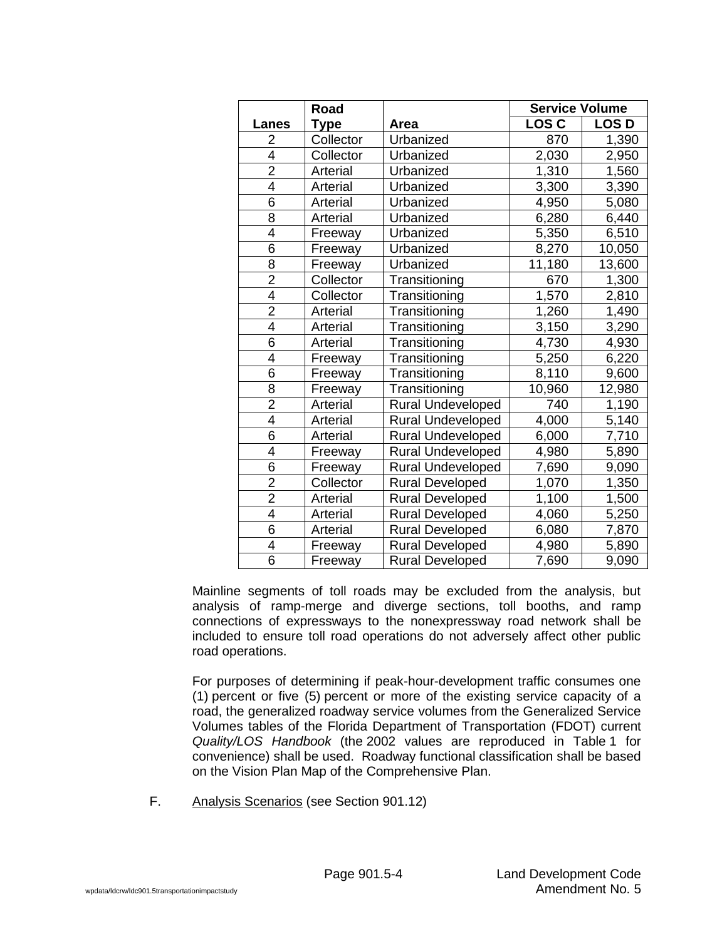|                | Road      |                          | <b>Service Volume</b> |             |  |  |
|----------------|-----------|--------------------------|-----------------------|-------------|--|--|
| <b>Lanes</b>   | Type      | Area                     | <b>LOSC</b>           | <b>LOSD</b> |  |  |
| $\overline{2}$ | Collector | Urbanized                | 870                   | 1,390       |  |  |
| 4              | Collector | Urbanized                | 2,030                 | 2,950       |  |  |
| $\overline{2}$ | Arterial  | Urbanized                | 1,310                 | 1,560       |  |  |
| $\overline{4}$ | Arterial  | Urbanized                | 3,300                 | 3,390       |  |  |
| 6              | Arterial  | Urbanized                | 4,950                 | 5,080       |  |  |
| 8              | Arterial  | Urbanized                | 6,280                 | 6,440       |  |  |
| 4              | Freeway   | Urbanized                | 5,350                 | 6,510       |  |  |
| 6              | Freeway   | Urbanized                | 8,270                 | 10,050      |  |  |
| 8              | Freeway   | Urbanized                | 11,180                | 13,600      |  |  |
| $\overline{2}$ | Collector | Transitioning            | 670                   | 1,300       |  |  |
| $\overline{4}$ | Collector | Transitioning            | 1,570                 | 2,810       |  |  |
| $\overline{2}$ | Arterial  | Transitioning            | 1,260                 | 1,490       |  |  |
| 4              | Arterial  | Transitioning            | 3,150                 | 3,290       |  |  |
| 6              | Arterial  | Transitioning            | 4,730                 | 4,930       |  |  |
| 4              | Freeway   | Transitioning            | 5,250                 | 6,220       |  |  |
| 6              | Freeway   | Transitioning            | 8,110                 | 9,600       |  |  |
| 8              | Freeway   | Transitioning            | 10,960                | 12,980      |  |  |
| $\overline{2}$ | Arterial  | <b>Rural Undeveloped</b> | 740                   | 1,190       |  |  |
| 4              | Arterial  | <b>Rural Undeveloped</b> | 4,000                 | 5,140       |  |  |
| 6              | Arterial  | <b>Rural Undeveloped</b> | 6,000                 | 7,710       |  |  |
| 4              | Freeway   | Rural Undeveloped        | 4,980                 | 5,890       |  |  |
| 6              | Freeway   | <b>Rural Undeveloped</b> | 7,690                 | 9,090       |  |  |
| $\overline{2}$ | Collector | <b>Rural Developed</b>   | 1,070                 | 1,350       |  |  |
| $\overline{2}$ | Arterial  | <b>Rural Developed</b>   | 1,100                 | 1,500       |  |  |
| $\overline{4}$ | Arterial  | <b>Rural Developed</b>   | 4,060                 | 5,250       |  |  |
| 6              | Arterial  | <b>Rural Developed</b>   | 6,080                 | 7,870       |  |  |
| 4              | Freeway   | <b>Rural Developed</b>   | 4,980                 | 5,890       |  |  |
| 6              | Freeway   | <b>Rural Developed</b>   | 7,690                 | 9,090       |  |  |

Mainline segments of toll roads may be excluded from the analysis, but analysis of ramp-merge and diverge sections, toll booths, and ramp connections of expressways to the nonexpressway road network shall be included to ensure toll road operations do not adversely affect other public road operations.

For purposes of determining if peak-hour-development traffic consumes one (1) percent or five (5) percent or more of the existing service capacity of a road, the generalized roadway service volumes from the Generalized Service Volumes tables of the Florida Department of Transportation (FDOT) current *Quality/LOS Handbook* (the 2002 values are reproduced in Table 1 for convenience) shall be used. Roadway functional classification shall be based on the Vision Plan Map of the Comprehensive Plan.

F. Analysis Scenarios (see Section 901.12)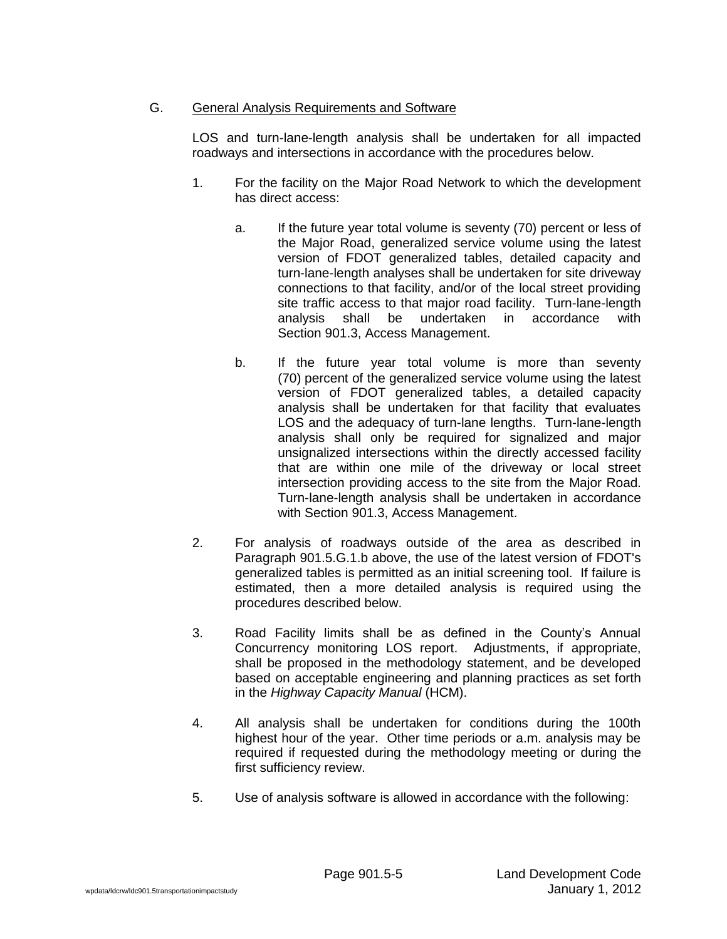# G. General Analysis Requirements and Software

LOS and turn-lane-length analysis shall be undertaken for all impacted roadways and intersections in accordance with the procedures below.

- 1. For the facility on the Major Road Network to which the development has direct access:
	- a. If the future year total volume is seventy (70) percent or less of the Major Road, generalized service volume using the latest version of FDOT generalized tables, detailed capacity and turn-lane-length analyses shall be undertaken for site driveway connections to that facility, and/or of the local street providing site traffic access to that major road facility. Turn-lane-length analysis shall be undertaken in accordance with Section 901.3, Access Management.
	- b. If the future year total volume is more than seventy (70) percent of the generalized service volume using the latest version of FDOT generalized tables, a detailed capacity analysis shall be undertaken for that facility that evaluates LOS and the adequacy of turn-lane lengths. Turn-lane-length analysis shall only be required for signalized and major unsignalized intersections within the directly accessed facility that are within one mile of the driveway or local street intersection providing access to the site from the Major Road. Turn-lane-length analysis shall be undertaken in accordance with Section 901.3, Access Management.
- 2. For analysis of roadways outside of the area as described in Paragraph 901.5.G.1.b above, the use of the latest version of FDOT's generalized tables is permitted as an initial screening tool. If failure is estimated, then a more detailed analysis is required using the procedures described below.
- 3. Road Facility limits shall be as defined in the County's Annual Concurrency monitoring LOS report. Adjustments, if appropriate, shall be proposed in the methodology statement, and be developed based on acceptable engineering and planning practices as set forth in the *Highway Capacity Manual* (HCM).
- 4. All analysis shall be undertaken for conditions during the 100th highest hour of the year. Other time periods or a.m. analysis may be required if requested during the methodology meeting or during the first sufficiency review.
- 5. Use of analysis software is allowed in accordance with the following: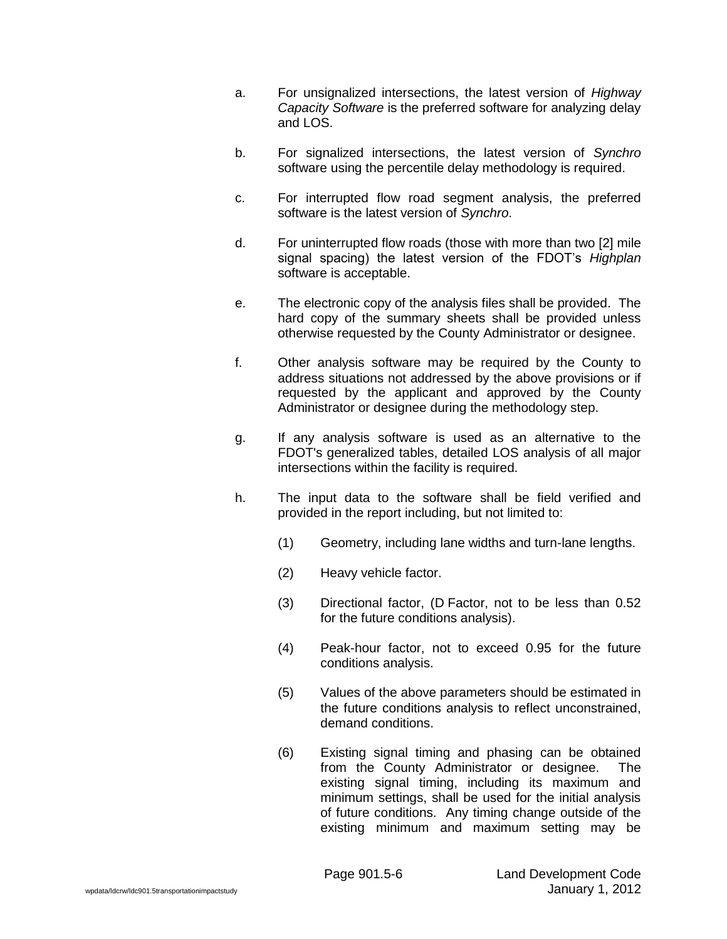- a. For unsignalized intersections, the latest version of *Highway Capacity Software* is the preferred software for analyzing delay and  $\overline{A}$  OS.
- b. For signalized intersections, the latest version of *Synchro* software using the percentile delay methodology is required.
- c. For interrupted flow road segment analysis, the preferred software is the latest version of *Synchro*.
- d. For uninterrupted flow roads (those with more than two [2] mile signal spacing) the latest version of the FDOT's *Highplan* software is acceptable.
- e. The electronic copy of the analysis files shall be provided. The hard copy of the summary sheets shall be provided unless otherwise requested by the County Administrator or designee.
- f. Other analysis software may be required by the County to address situations not addressed by the above provisions or if requested by the applicant and approved by the County Administrator or designee during the methodology step.
- g. If any analysis software is used as an alternative to the FDOT's generalized tables, detailed LOS analysis of all major intersections within the facility is required.
- h. The input data to the software shall be field verified and provided in the report including, but not limited to:
	- (1) Geometry, including lane widths and turn-lane lengths.
	- (2) Heavy vehicle factor.
	- (3) Directional factor, (D Factor, not to be less than 0.52 for the future conditions analysis).
	- (4) Peak-hour factor, not to exceed 0.95 for the future conditions analysis.
	- (5) Values of the above parameters should be estimated in the future conditions analysis to reflect unconstrained, demand conditions.
	- (6) Existing signal timing and phasing can be obtained from the County Administrator or designee. The existing signal timing, including its maximum and minimum settings, shall be used for the initial analysis of future conditions. Any timing change outside of the existing minimum and maximum setting may be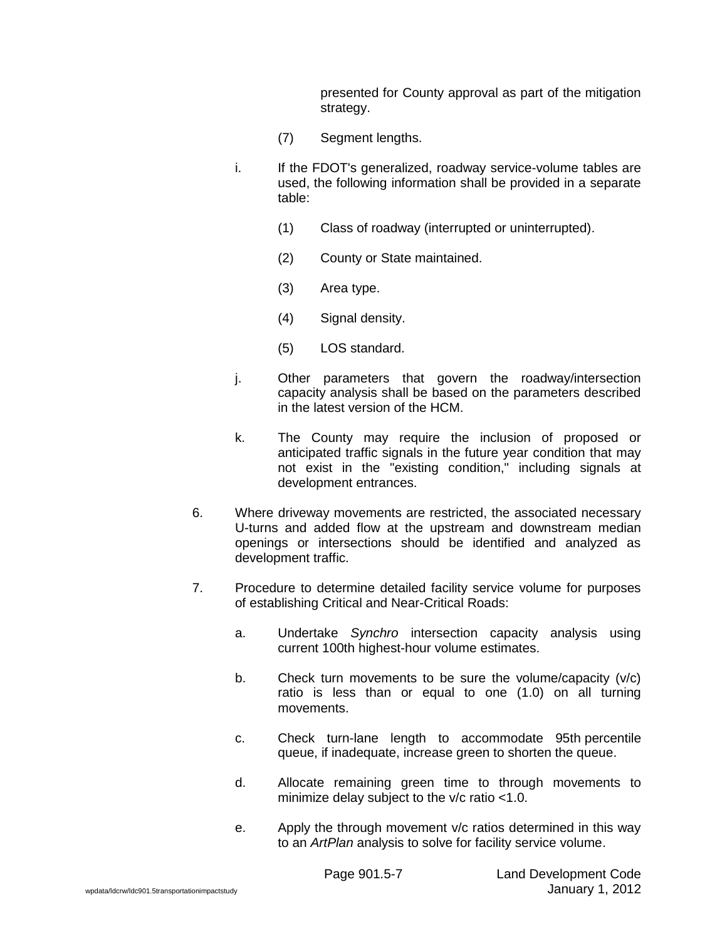presented for County approval as part of the mitigation strategy.

- (7) Segment lengths.
- i. If the FDOT's generalized, roadway service-volume tables are used, the following information shall be provided in a separate table:
	- (1) Class of roadway (interrupted or uninterrupted).
	- (2) County or State maintained.
	- (3) Area type.
	- (4) Signal density.
	- (5) LOS standard.
- j. Other parameters that govern the roadway/intersection capacity analysis shall be based on the parameters described in the latest version of the HCM.
- k. The County may require the inclusion of proposed or anticipated traffic signals in the future year condition that may not exist in the "existing condition," including signals at development entrances.
- 6. Where driveway movements are restricted, the associated necessary U-turns and added flow at the upstream and downstream median openings or intersections should be identified and analyzed as development traffic.
- 7. Procedure to determine detailed facility service volume for purposes of establishing Critical and Near-Critical Roads:
	- a. Undertake *Synchro* intersection capacity analysis using current 100th highest-hour volume estimates.
	- b. Check turn movements to be sure the volume/capacity (v/c) ratio is less than or equal to one (1.0) on all turning movements.
	- c. Check turn-lane length to accommodate 95th percentile queue, if inadequate, increase green to shorten the queue.
	- d. Allocate remaining green time to through movements to minimize delay subject to the v/c ratio <1.0.
	- e. Apply the through movement v/c ratios determined in this way to an *ArtPlan* analysis to solve for facility service volume.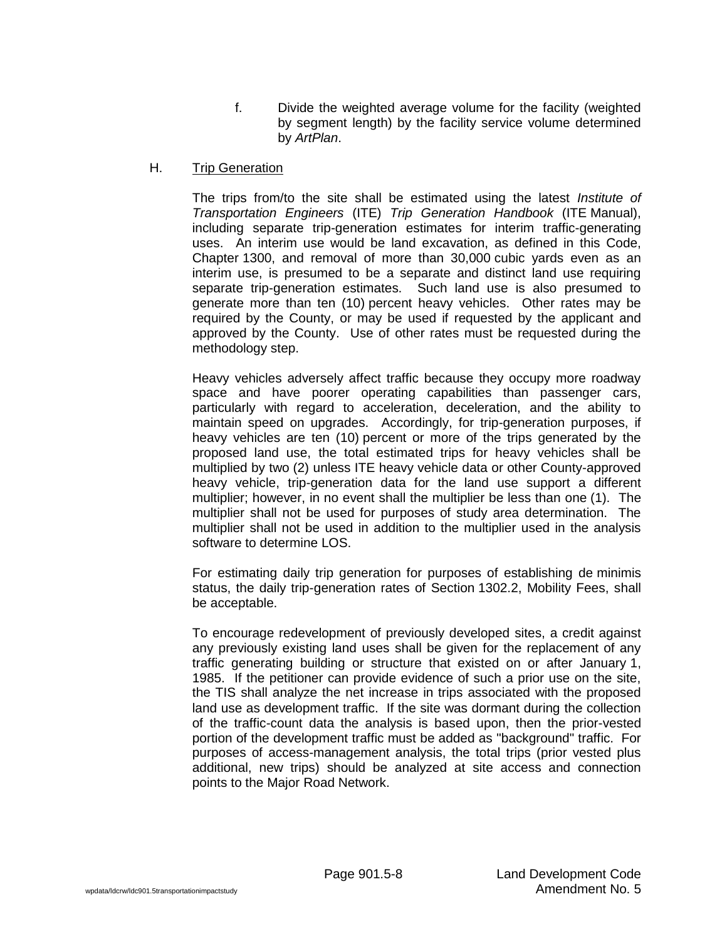f. Divide the weighted average volume for the facility (weighted by segment length) by the facility service volume determined by *ArtPlan*.

#### H. Trip Generation

The trips from/to the site shall be estimated using the latest *Institute of Transportation Engineers* (ITE) *Trip Generation Handbook* (ITE Manual), including separate trip-generation estimates for interim traffic-generating uses. An interim use would be land excavation, as defined in this Code, Chapter 1300, and removal of more than 30,000 cubic yards even as an interim use, is presumed to be a separate and distinct land use requiring separate trip-generation estimates. Such land use is also presumed to generate more than ten (10) percent heavy vehicles. Other rates may be required by the County, or may be used if requested by the applicant and approved by the County. Use of other rates must be requested during the methodology step.

Heavy vehicles adversely affect traffic because they occupy more roadway space and have poorer operating capabilities than passenger cars, particularly with regard to acceleration, deceleration, and the ability to maintain speed on upgrades. Accordingly, for trip-generation purposes, if heavy vehicles are ten (10) percent or more of the trips generated by the proposed land use, the total estimated trips for heavy vehicles shall be multiplied by two (2) unless ITE heavy vehicle data or other County-approved heavy vehicle, trip-generation data for the land use support a different multiplier; however, in no event shall the multiplier be less than one (1). The multiplier shall not be used for purposes of study area determination. The multiplier shall not be used in addition to the multiplier used in the analysis software to determine LOS.

For estimating daily trip generation for purposes of establishing de minimis status, the daily trip-generation rates of Section 1302.2, Mobility Fees, shall be acceptable.

To encourage redevelopment of previously developed sites, a credit against any previously existing land uses shall be given for the replacement of any traffic generating building or structure that existed on or after January 1, 1985. If the petitioner can provide evidence of such a prior use on the site, the TIS shall analyze the net increase in trips associated with the proposed land use as development traffic. If the site was dormant during the collection of the traffic-count data the analysis is based upon, then the prior-vested portion of the development traffic must be added as "background" traffic. For purposes of access-management analysis, the total trips (prior vested plus additional, new trips) should be analyzed at site access and connection points to the Major Road Network.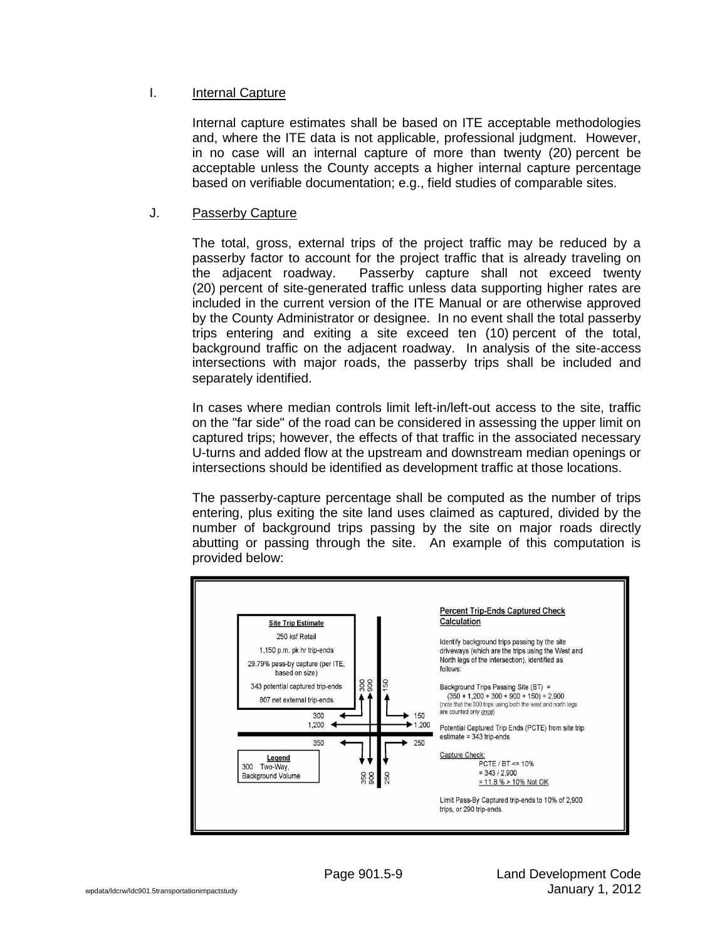# I. Internal Capture

Internal capture estimates shall be based on ITE acceptable methodologies and, where the ITE data is not applicable, professional judgment. However, in no case will an internal capture of more than twenty (20) percent be acceptable unless the County accepts a higher internal capture percentage based on verifiable documentation; e.g., field studies of comparable sites.

### J. Passerby Capture

The total, gross, external trips of the project traffic may be reduced by a passerby factor to account for the project traffic that is already traveling on the adjacent roadway. Passerby capture shall not exceed twenty (20) percent of site-generated traffic unless data supporting higher rates are included in the current version of the ITE Manual or are otherwise approved by the County Administrator or designee. In no event shall the total passerby trips entering and exiting a site exceed ten (10) percent of the total, background traffic on the adjacent roadway. In analysis of the site-access intersections with major roads, the passerby trips shall be included and separately identified.

In cases where median controls limit left-in/left-out access to the site, traffic on the "far side" of the road can be considered in assessing the upper limit on captured trips; however, the effects of that traffic in the associated necessary U-turns and added flow at the upstream and downstream median openings or intersections should be identified as development traffic at those locations.

The passerby-capture percentage shall be computed as the number of trips entering, plus exiting the site land uses claimed as captured, divided by the number of background trips passing by the site on major roads directly abutting or passing through the site. An example of this computation is provided below:

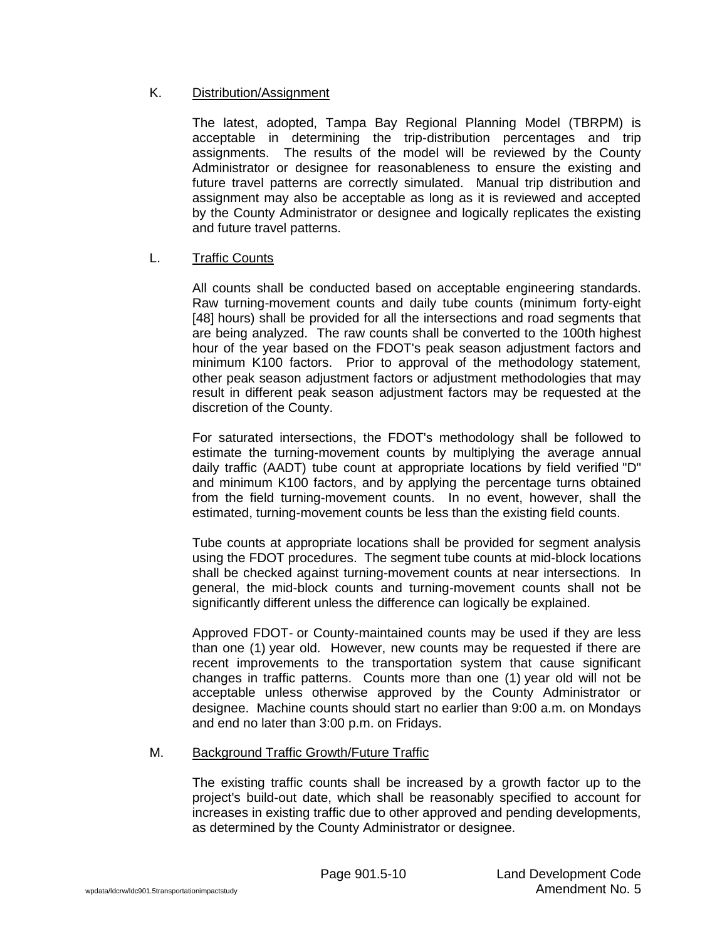# K. Distribution/Assignment

The latest, adopted, Tampa Bay Regional Planning Model (TBRPM) is acceptable in determining the trip-distribution percentages and trip assignments. The results of the model will be reviewed by the County Administrator or designee for reasonableness to ensure the existing and future travel patterns are correctly simulated. Manual trip distribution and assignment may also be acceptable as long as it is reviewed and accepted by the County Administrator or designee and logically replicates the existing and future travel patterns.

# L. Traffic Counts

All counts shall be conducted based on acceptable engineering standards. Raw turning-movement counts and daily tube counts (minimum forty-eight [48] hours) shall be provided for all the intersections and road segments that are being analyzed. The raw counts shall be converted to the 100th highest hour of the year based on the FDOT's peak season adjustment factors and minimum K100 factors. Prior to approval of the methodology statement, other peak season adjustment factors or adjustment methodologies that may result in different peak season adjustment factors may be requested at the discretion of the County.

For saturated intersections, the FDOT's methodology shall be followed to estimate the turning-movement counts by multiplying the average annual daily traffic (AADT) tube count at appropriate locations by field verified "D" and minimum K100 factors, and by applying the percentage turns obtained from the field turning-movement counts. In no event, however, shall the estimated, turning-movement counts be less than the existing field counts.

Tube counts at appropriate locations shall be provided for segment analysis using the FDOT procedures. The segment tube counts at mid-block locations shall be checked against turning-movement counts at near intersections. In general, the mid-block counts and turning-movement counts shall not be significantly different unless the difference can logically be explained.

Approved FDOT- or County-maintained counts may be used if they are less than one (1) year old. However, new counts may be requested if there are recent improvements to the transportation system that cause significant changes in traffic patterns. Counts more than one (1) year old will not be acceptable unless otherwise approved by the County Administrator or designee. Machine counts should start no earlier than 9:00 a.m. on Mondays and end no later than 3:00 p.m. on Fridays.

#### M. Background Traffic Growth/Future Traffic

The existing traffic counts shall be increased by a growth factor up to the project's build-out date, which shall be reasonably specified to account for increases in existing traffic due to other approved and pending developments, as determined by the County Administrator or designee.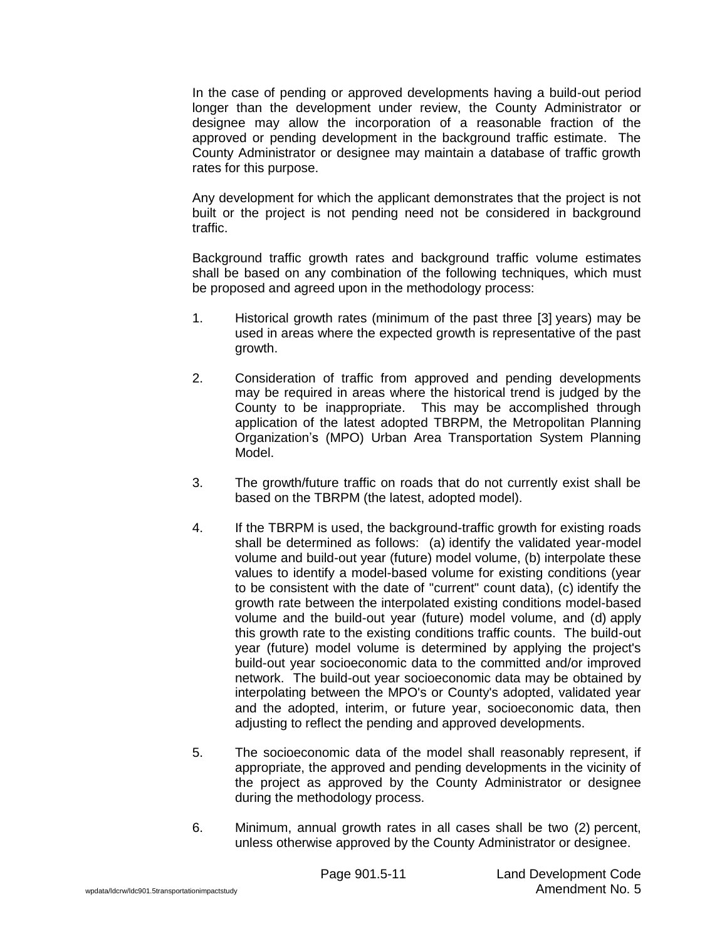In the case of pending or approved developments having a build-out period longer than the development under review, the County Administrator or designee may allow the incorporation of a reasonable fraction of the approved or pending development in the background traffic estimate. The County Administrator or designee may maintain a database of traffic growth rates for this purpose.

Any development for which the applicant demonstrates that the project is not built or the project is not pending need not be considered in background traffic.

Background traffic growth rates and background traffic volume estimates shall be based on any combination of the following techniques, which must be proposed and agreed upon in the methodology process:

- 1. Historical growth rates (minimum of the past three [3] years) may be used in areas where the expected growth is representative of the past growth.
- 2. Consideration of traffic from approved and pending developments may be required in areas where the historical trend is judged by the County to be inappropriate. This may be accomplished through application of the latest adopted TBRPM, the Metropolitan Planning Organization's (MPO) Urban Area Transportation System Planning Model.
- 3. The growth/future traffic on roads that do not currently exist shall be based on the TBRPM (the latest, adopted model).
- 4. If the TBRPM is used, the background-traffic growth for existing roads shall be determined as follows: (a) identify the validated year-model volume and build-out year (future) model volume, (b) interpolate these values to identify a model-based volume for existing conditions (year to be consistent with the date of "current" count data), (c) identify the growth rate between the interpolated existing conditions model-based volume and the build-out year (future) model volume, and (d) apply this growth rate to the existing conditions traffic counts. The build-out year (future) model volume is determined by applying the project's build-out year socioeconomic data to the committed and/or improved network. The build-out year socioeconomic data may be obtained by interpolating between the MPO's or County's adopted, validated year and the adopted, interim, or future year, socioeconomic data, then adjusting to reflect the pending and approved developments.
- 5. The socioeconomic data of the model shall reasonably represent, if appropriate, the approved and pending developments in the vicinity of the project as approved by the County Administrator or designee during the methodology process.
- 6. Minimum, annual growth rates in all cases shall be two (2) percent, unless otherwise approved by the County Administrator or designee.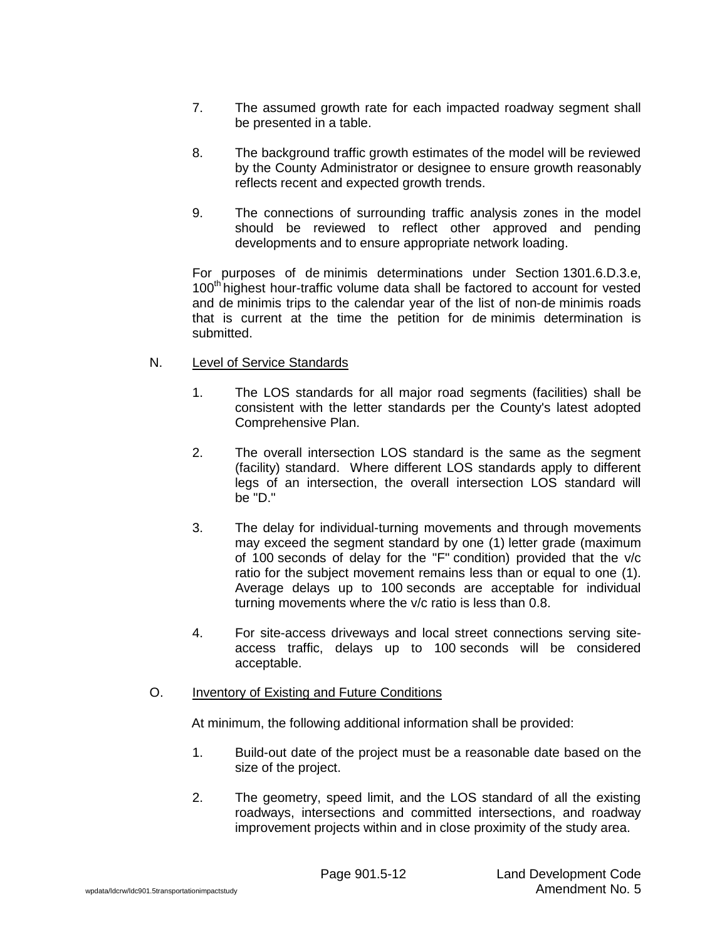- 7. The assumed growth rate for each impacted roadway segment shall be presented in a table.
- 8. The background traffic growth estimates of the model will be reviewed by the County Administrator or designee to ensure growth reasonably reflects recent and expected growth trends.
- 9. The connections of surrounding traffic analysis zones in the model should be reviewed to reflect other approved and pending developments and to ensure appropriate network loading.

For purposes of de minimis determinations under Section 1301.6.D.3.e, 100<sup>th</sup> highest hour-traffic volume data shall be factored to account for vested and de minimis trips to the calendar year of the list of non-de minimis roads that is current at the time the petition for de minimis determination is submitted.

# N. Level of Service Standards

- 1. The LOS standards for all major road segments (facilities) shall be consistent with the letter standards per the County's latest adopted Comprehensive Plan.
- 2. The overall intersection LOS standard is the same as the segment (facility) standard. Where different LOS standards apply to different legs of an intersection, the overall intersection LOS standard will be "D."
- 3. The delay for individual-turning movements and through movements may exceed the segment standard by one (1) letter grade (maximum of 100 seconds of delay for the "F" condition) provided that the v/c ratio for the subject movement remains less than or equal to one (1). Average delays up to 100 seconds are acceptable for individual turning movements where the v/c ratio is less than 0.8.
- 4. For site-access driveways and local street connections serving siteaccess traffic, delays up to 100 seconds will be considered acceptable.

# O. Inventory of Existing and Future Conditions

At minimum, the following additional information shall be provided:

- 1. Build-out date of the project must be a reasonable date based on the size of the project.
- 2. The geometry, speed limit, and the LOS standard of all the existing roadways, intersections and committed intersections, and roadway improvement projects within and in close proximity of the study area.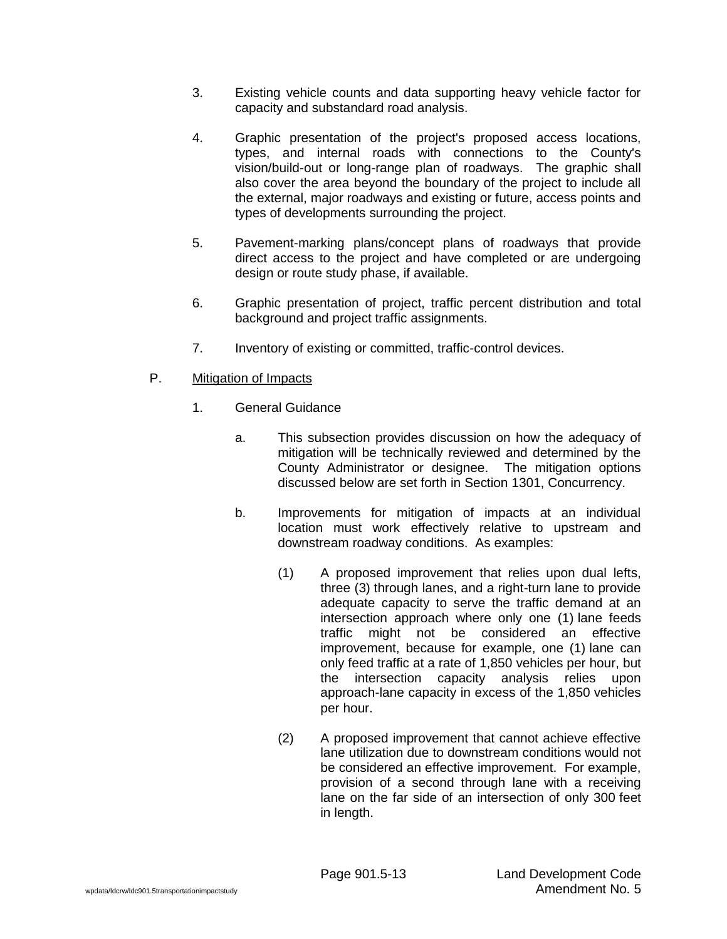- 3. Existing vehicle counts and data supporting heavy vehicle factor for capacity and substandard road analysis.
- 4. Graphic presentation of the project's proposed access locations, types, and internal roads with connections to the County's vision/build-out or long-range plan of roadways. The graphic shall also cover the area beyond the boundary of the project to include all the external, major roadways and existing or future, access points and types of developments surrounding the project.
- 5. Pavement-marking plans/concept plans of roadways that provide direct access to the project and have completed or are undergoing design or route study phase, if available.
- 6. Graphic presentation of project, traffic percent distribution and total background and project traffic assignments.
- 7. Inventory of existing or committed, traffic-control devices.
- P. Mitigation of Impacts
	- 1. General Guidance
		- a. This subsection provides discussion on how the adequacy of mitigation will be technically reviewed and determined by the County Administrator or designee. The mitigation options discussed below are set forth in Section 1301, Concurrency.
		- b. Improvements for mitigation of impacts at an individual location must work effectively relative to upstream and downstream roadway conditions. As examples:
			- (1) A proposed improvement that relies upon dual lefts, three (3) through lanes, and a right-turn lane to provide adequate capacity to serve the traffic demand at an intersection approach where only one (1) lane feeds traffic might not be considered an effective improvement, because for example, one (1) lane can only feed traffic at a rate of 1,850 vehicles per hour, but the intersection capacity analysis relies upon approach-lane capacity in excess of the 1,850 vehicles per hour.
			- (2) A proposed improvement that cannot achieve effective lane utilization due to downstream conditions would not be considered an effective improvement. For example, provision of a second through lane with a receiving lane on the far side of an intersection of only 300 feet in length.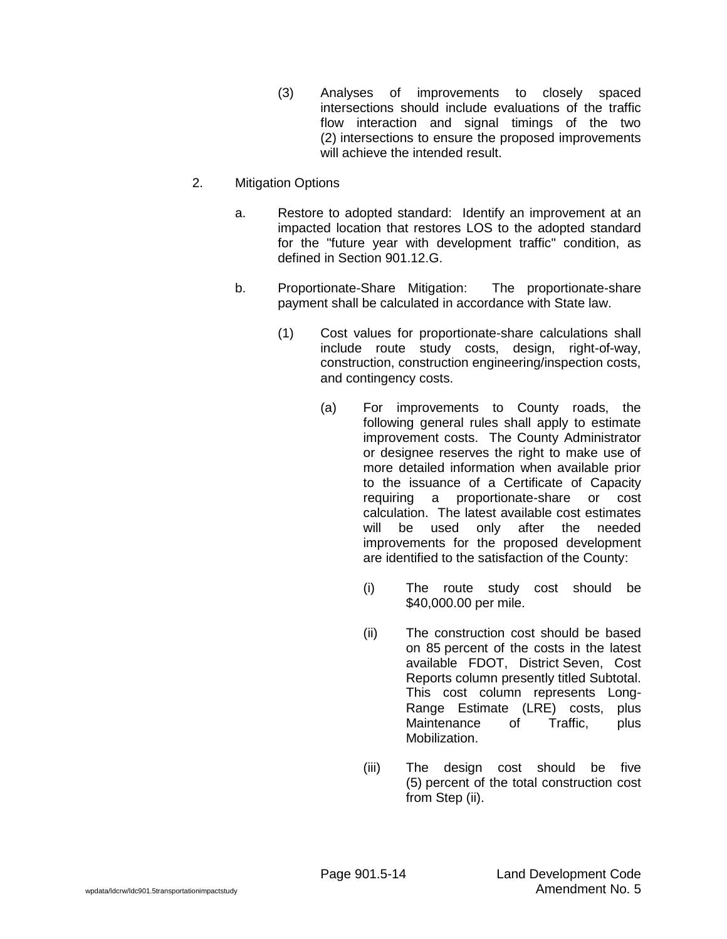- (3) Analyses of improvements to closely spaced intersections should include evaluations of the traffic flow interaction and signal timings of the two (2) intersections to ensure the proposed improvements will achieve the intended result.
- 2. Mitigation Options
	- a. Restore to adopted standard: Identify an improvement at an impacted location that restores LOS to the adopted standard for the "future year with development traffic" condition, as defined in Section 901.12.G.
	- b. Proportionate-Share Mitigation: The proportionate-share payment shall be calculated in accordance with State law.
		- (1) Cost values for proportionate-share calculations shall include route study costs, design, right-of-way, construction, construction engineering/inspection costs, and contingency costs.
			- (a) For improvements to County roads, the following general rules shall apply to estimate improvement costs. The County Administrator or designee reserves the right to make use of more detailed information when available prior to the issuance of a Certificate of Capacity requiring a proportionate-share or cost calculation. The latest available cost estimates will be used only after the needed improvements for the proposed development are identified to the satisfaction of the County:
				- (i) The route study cost should be \$40,000.00 per mile.
				- (ii) The construction cost should be based on 85 percent of the costs in the latest available FDOT, District Seven, Cost Reports column presently titled Subtotal. This cost column represents Long-Range Estimate (LRE) costs, plus Maintenance of Traffic, plus Mobilization.
				- (iii) The design cost should be five (5) percent of the total construction cost from Step (ii).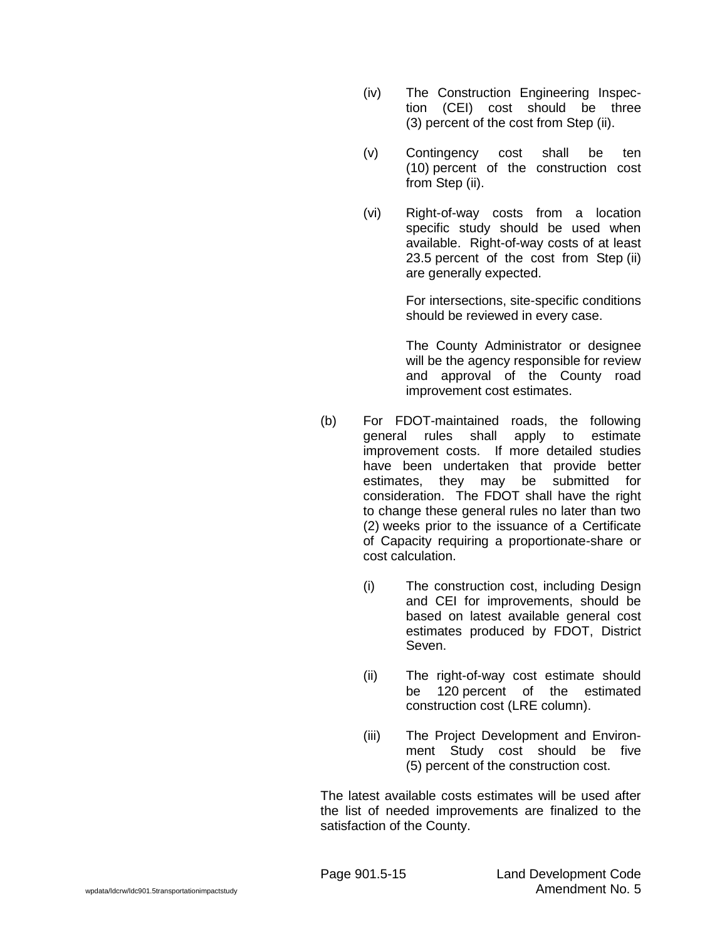- (iv) The Construction Engineering Inspection (CEI) cost should be three (3) percent of the cost from Step (ii).
- (v) Contingency cost shall be ten (10) percent of the construction cost from Step (ii).
- (vi) Right-of-way costs from a location specific study should be used when available. Right-of-way costs of at least 23.5 percent of the cost from Step (ii) are generally expected.

For intersections, site-specific conditions should be reviewed in every case.

The County Administrator or designee will be the agency responsible for review and approval of the County road improvement cost estimates.

- (b) For FDOT-maintained roads, the following general rules shall apply to estimate improvement costs. If more detailed studies have been undertaken that provide better estimates, they may be submitted for consideration. The FDOT shall have the right to change these general rules no later than two (2) weeks prior to the issuance of a Certificate of Capacity requiring a proportionate-share or cost calculation.
	- (i) The construction cost, including Design and CEI for improvements, should be based on latest available general cost estimates produced by FDOT, District Seven.
	- (ii) The right-of-way cost estimate should be 120 percent of the estimated construction cost (LRE column).
	- (iii) The Project Development and Environment Study cost should be five (5) percent of the construction cost.

The latest available costs estimates will be used after the list of needed improvements are finalized to the satisfaction of the County.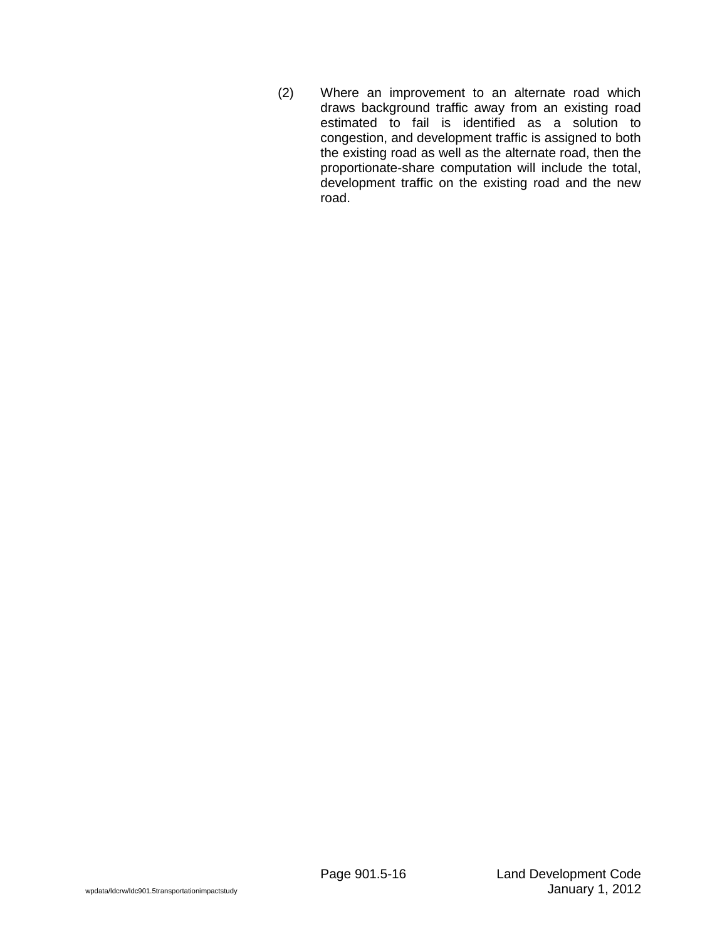(2) Where an improvement to an alternate road which draws background traffic away from an existing road estimated to fail is identified as a solution to congestion, and development traffic is assigned to both the existing road as well as the alternate road, then the proportionate-share computation will include the total, development traffic on the existing road and the new road.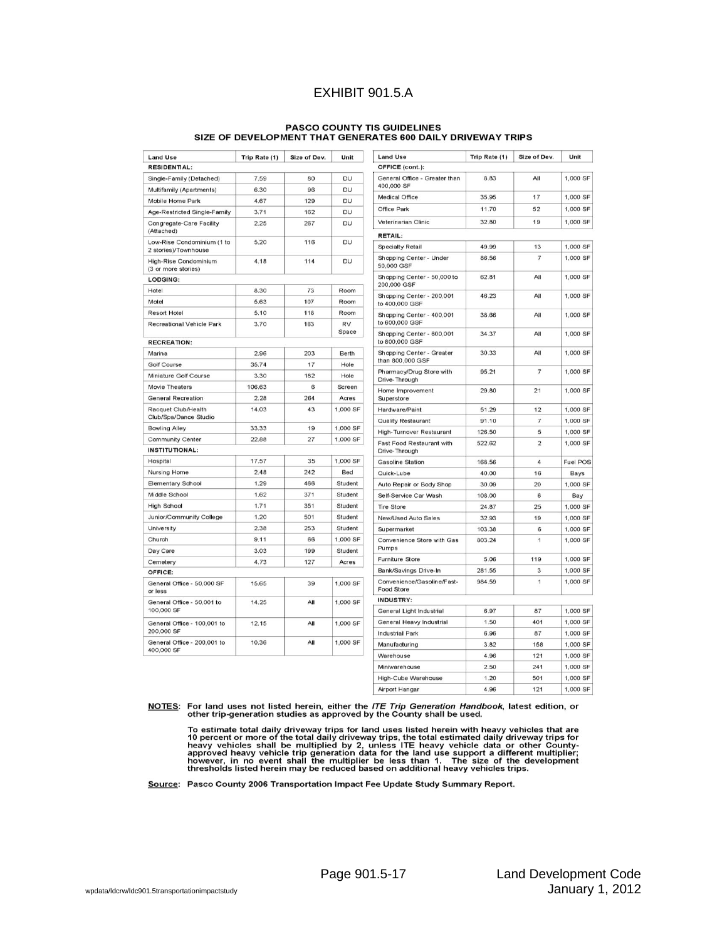# EXHIBIT 901.5.A

# PASCO COUNTY TIS GUIDELINES<br>SIZE OF DEVELOPMENT THAT GENERATES 600 DAILY DRIVEWAY TRIPS

| <b>Land Use</b>                                             | Trip Rate (1) | Size of Dev.          | Unit      | <b>Land Use</b>                             | Trip Rate (1) | Size of Dev.   | Unit            |
|-------------------------------------------------------------|---------------|-----------------------|-----------|---------------------------------------------|---------------|----------------|-----------------|
| <b>RESIDENTIAL:</b>                                         |               |                       |           | OFFICE (cont.):                             |               |                |                 |
| Single-Family (Detached)                                    | 7.59          | 80                    | DU        | General Office - Greater than               | 8.83          | All            | 1,000 SF        |
| Multifamily (Apartments)                                    | 6.30          | 96                    | DU        | 400,000 SF                                  |               |                |                 |
| Mobile Home Park                                            | 4.67          | 129                   | DU        | Medical Office                              | 35.95         | 17             | 1,000 SF        |
| Age-Restricted Single-Family                                | 3.71          | 162                   | DU        | Office Park                                 | 11.70         | 52             | 1,000 SF        |
| Congregate-Care Facility<br>(Attached)                      | 2.25          | 267                   | DU        | Veterinarian Clinic                         | 32.80         | 19             | 1,000 SF        |
| Low-Rise Condominium (1 to                                  | 5.20          | 116                   | DU        | <b>RETAIL:</b>                              |               |                |                 |
| 2 stories)/Townhouse                                        |               |                       |           | Specialty Retail                            | 49.99         | 13             | 1,000 SF        |
| High-Rise Condominium<br>(3 or more stories)                | 4.18          | 114                   | DU        | Shopping Center - Under<br>50,000 GSF       | 86.56         | $\overline{7}$ | 1,000 SF        |
| <b>LODGING:</b>                                             |               |                       |           | Shopping Center - 50,000 to                 | 62.81         | All            | 1,000 SF        |
| Hotel                                                       | 8.30          | 73                    | Room      | 200,000 GSF                                 |               |                |                 |
| Motel                                                       | 5.63          | 107                   | Room      | Shopping Center - 200,001<br>to 400,000 GSF | 46.23         | All            | 1,000 SF        |
| <b>Resort Hotel</b>                                         | 5.10          | 118                   | Room      | Shopping Center - 400,001                   | 38.66         | All            | 1,000 SF        |
| <b>Recreational Vehicle Park</b>                            | 3.70          | 163                   | <b>RV</b> | to 600,000 GSF                              |               |                |                 |
| <b>RECREATION:</b>                                          |               |                       | Space     | Shopping Center - 600,001<br>to 800,000 GSF | 34.37         | All            | 1,000 SF        |
| Marina<br>2.96<br>203<br>Berth<br>Shopping Center - Greater |               |                       | 30.33     | All                                         | 1,000 SF      |                |                 |
| Golf Course                                                 | 35.74         | 17                    | Hole      | than 800,000 GSF                            |               |                |                 |
| Miniature Golf Course                                       | 3.30          | 182                   | Hole      | Pharmacy/Drug Store with                    | 95.21         | $\overline{7}$ | 1,000 SF        |
| Movie Theaters                                              | 106.63        | 6                     | Screen    | Drive-Through                               |               |                |                 |
| <b>General Recreation</b>                                   | 2.28          | 264                   | Acres     | Home Improvement<br>Superstore              | 29.80         | 21             | 1.000 SF        |
| Racquet Club/Health                                         | 14.03         | 43                    | 1.000 SF  | Hardware/Paint                              | 51.29         | 12             | 1,000 SF        |
| Club/Spa/Dance Studio                                       |               |                       |           | Quality Restaurant                          | 91.10         | $\overline{7}$ | 1,000 SF        |
| <b>Bowling Alley</b>                                        | 33.33         | 19                    | 1,000 SF  | High-Turnover Restaurant                    | 126.50        | 5              | 1,000 SF        |
| Community Center                                            | 22.88         | 27                    | 1,000 SF  | Fast Food Restaurant with                   | 522.62        | $\overline{2}$ | 1,000 SF        |
| <b>INSTITUTIONAL:</b>                                       |               |                       |           | Drive-Through                               |               |                |                 |
| Hospital                                                    | 17.57         | 35                    | 1,000 SF  | <b>Gasoline Station</b>                     | 168.56        | $\overline{4}$ | <b>Fuel POS</b> |
| Nursing Home                                                | 2.48          | 242                   | Bed       | Quick-Lube                                  | 40.00         | 16             | Bays            |
| Elementary School                                           | 1.29          | 466                   | Student   | Auto Repair or Body Shop                    | 30.09         | 20             | 1,000 SF        |
| Middle School                                               | 1.62          | 371                   | Student   | Self-Service Car Wash                       | 108.00        | 6              | Bay             |
| <b>High School</b>                                          | 1.71          | 351                   | Student   | <b>Tire Store</b>                           | 24.87         | 25             | 1,000 SF        |
| Junior/Community College                                    | 1.20          | 501                   | Student   | New/Used Auto Sales                         | 32.93         | 19             | 1,000 SF        |
| University                                                  | 2.38          | 253                   | Student   | Supermarket                                 | 103.38        | 6              | 1,000 SF        |
| Church                                                      | 9.11          | 66                    | 1,000 SF  | Convenience Store with Gas                  | 803.24        | $\overline{1}$ | 1,000 SF        |
| Day Care                                                    | 3.03          | 199                   | Student   | Pumps                                       |               |                |                 |
| Cemetery                                                    | 4.73          | 127                   | Acres     | Furniture Store                             | 5.06          | 119            | 1,000 SF        |
| OFFICE:                                                     |               | Bank/Savings Drive-In | 281.55    | 3                                           | 1,000 SF      |                |                 |
| General Office - 50,000 SF<br>or less                       | 15.65         | 39                    | 1,000 SF  | Convenience/Gasoline/Fast-<br>Food Store    | 984.59        | $\mathbf{1}$   | 1,000 SF        |
| General Office - 50,001 to<br>100,000 SF                    | 14.25         | All                   | 1,000 SF  | <b>INDUSTRY:</b>                            |               |                |                 |
|                                                             |               |                       |           | General Light Industrial                    | 6.97          | 87             | 1,000 SF        |
| General Office - 100,001 to                                 | 12.15         | All                   | 1,000 SF  | General Heavy Industrial                    | 1.50          | 401            | 1,000 SF        |
| 200,000 SF                                                  |               |                       |           | <b>Industrial Park</b>                      | 6.96          | 87             | 1,000 SF        |
| General Office - 200,001 to                                 | 10.36         | All                   | 1,000 SF  | Manufacturing                               | 3.82          | 158            | 1,000 SF        |
| 400,000 SF                                                  |               |                       |           | Warehouse                                   | 4.96          | 121            | 1,000 SF        |
|                                                             |               |                       |           | Miniwarehouse                               | 2.50          | 241            | 1,000 SF        |
|                                                             |               |                       |           | High-Cube Warehouse                         | 1.20          | 501            | 1.000 SF        |
|                                                             |               |                       |           | Airport Hangar                              | 4.96          | 121            | 1,000 SF        |

NOTES: For land uses not listed herein, either the ITE Trip Generation Handbook, latest edition, or other trip-generation studies as approved by the County shall be used.

To estimate total daily driveway trips for land uses listed herein with heavy vehicles that are 10 percent or more of the total daily driveway trips, the total estimated daily driveway trips for heavy vehicles shall be mul

Source: Pasco County 2006 Transportation Impact Fee Update Study Summary Report.